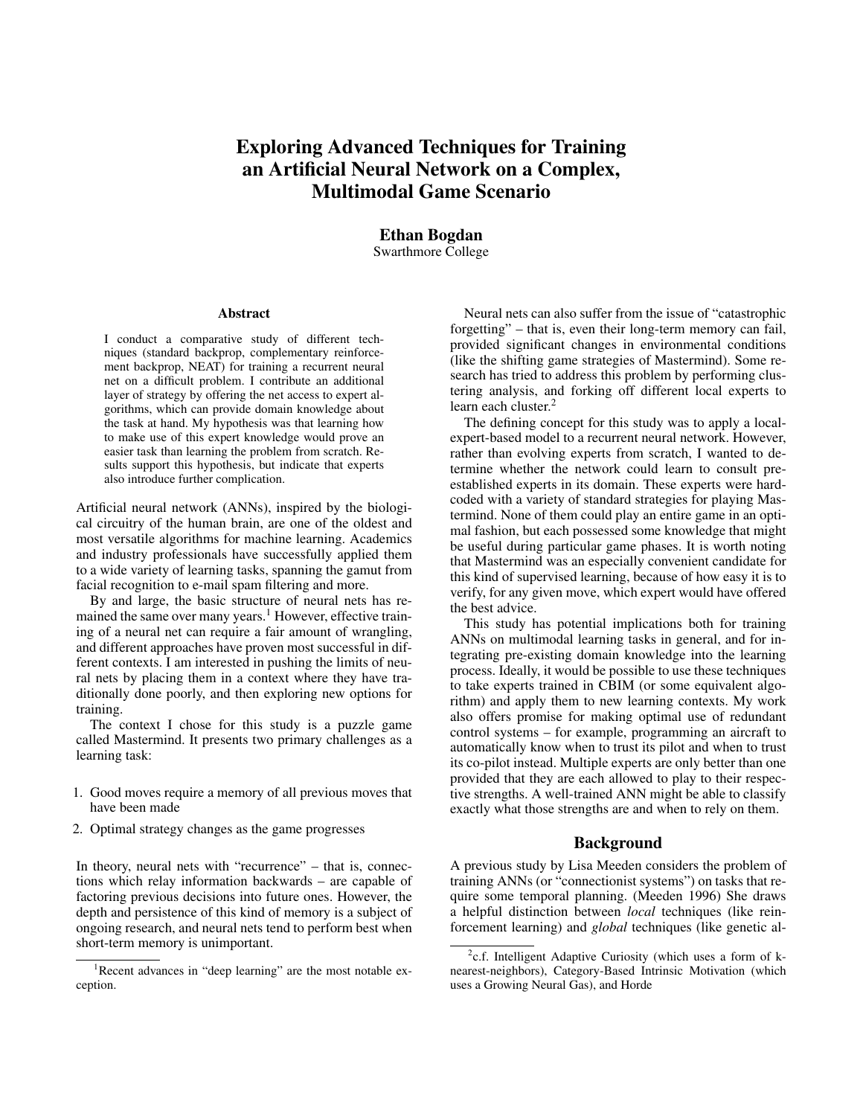## Exploring Advanced Techniques for Training an Artificial Neural Network on a Complex, Multimodal Game Scenario

# Ethan Bogdan

Swarthmore College

#### Abstract

I conduct a comparative study of different techniques (standard backprop, complementary reinforcement backprop, NEAT) for training a recurrent neural net on a difficult problem. I contribute an additional layer of strategy by offering the net access to expert algorithms, which can provide domain knowledge about the task at hand. My hypothesis was that learning how to make use of this expert knowledge would prove an easier task than learning the problem from scratch. Results support this hypothesis, but indicate that experts also introduce further complication.

Artificial neural network (ANNs), inspired by the biological circuitry of the human brain, are one of the oldest and most versatile algorithms for machine learning. Academics and industry professionals have successfully applied them to a wide variety of learning tasks, spanning the gamut from facial recognition to e-mail spam filtering and more.

By and large, the basic structure of neural nets has remained the same over many years.<sup>1</sup> However, effective training of a neural net can require a fair amount of wrangling, and different approaches have proven most successful in different contexts. I am interested in pushing the limits of neural nets by placing them in a context where they have traditionally done poorly, and then exploring new options for training.

The context I chose for this study is a puzzle game called Mastermind. It presents two primary challenges as a learning task:

- 1. Good moves require a memory of all previous moves that have been made
- 2. Optimal strategy changes as the game progresses

In theory, neural nets with "recurrence" – that is, connections which relay information backwards – are capable of factoring previous decisions into future ones. However, the depth and persistence of this kind of memory is a subject of ongoing research, and neural nets tend to perform best when short-term memory is unimportant.

Neural nets can also suffer from the issue of "catastrophic forgetting" – that is, even their long-term memory can fail, provided significant changes in environmental conditions (like the shifting game strategies of Mastermind). Some research has tried to address this problem by performing clustering analysis, and forking off different local experts to learn each cluster. $2$ 

The defining concept for this study was to apply a localexpert-based model to a recurrent neural network. However, rather than evolving experts from scratch, I wanted to determine whether the network could learn to consult preestablished experts in its domain. These experts were hardcoded with a variety of standard strategies for playing Mastermind. None of them could play an entire game in an optimal fashion, but each possessed some knowledge that might be useful during particular game phases. It is worth noting that Mastermind was an especially convenient candidate for this kind of supervised learning, because of how easy it is to verify, for any given move, which expert would have offered the best advice.

This study has potential implications both for training ANNs on multimodal learning tasks in general, and for integrating pre-existing domain knowledge into the learning process. Ideally, it would be possible to use these techniques to take experts trained in CBIM (or some equivalent algorithm) and apply them to new learning contexts. My work also offers promise for making optimal use of redundant control systems – for example, programming an aircraft to automatically know when to trust its pilot and when to trust its co-pilot instead. Multiple experts are only better than one provided that they are each allowed to play to their respective strengths. A well-trained ANN might be able to classify exactly what those strengths are and when to rely on them.

## Background

A previous study by Lisa Meeden considers the problem of training ANNs (or "connectionist systems") on tasks that require some temporal planning. (Meeden 1996) She draws a helpful distinction between *local* techniques (like reinforcement learning) and *global* techniques (like genetic al-

<sup>&</sup>lt;sup>1</sup>Recent advances in "deep learning" are the most notable exception.

<sup>&</sup>lt;sup>2</sup>c.f. Intelligent Adaptive Curiosity (which uses a form of knearest-neighbors), Category-Based Intrinsic Motivation (which uses a Growing Neural Gas), and Horde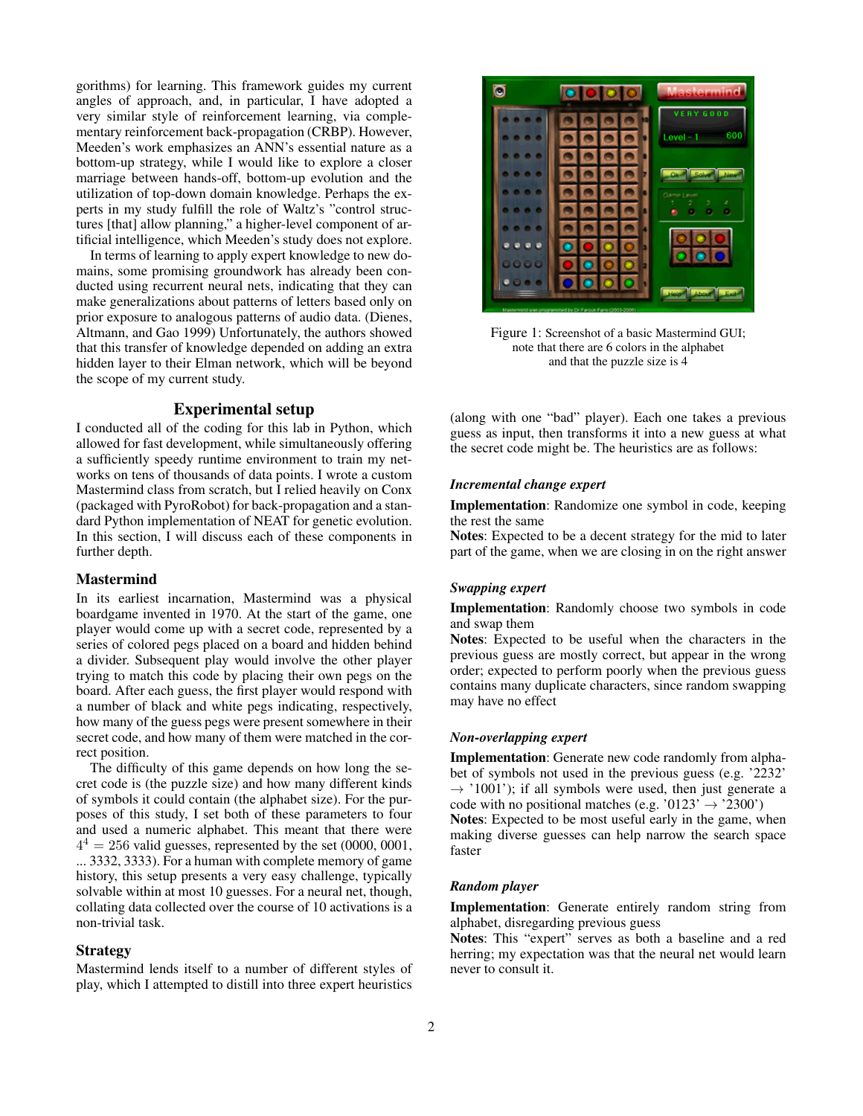gorithms) for learning. This framework guides my current angles of approach, and, in particular, I have adopted a very similar style of reinforcement learning, via complementary reinforcement back-propagation (CRBP). However, Meeden's work emphasizes an ANN's essential nature as a bottom-up strategy, while I would like to explore a closer marriage between hands-off, bottom-up evolution and the utilization of top-down domain knowledge. Perhaps the experts in my study fulfill the role of Waltz's "control structures [that] allow planning," a higher-level component of artificial intelligence, which Meeden's study does not explore.

In terms of learning to apply expert knowledge to new domains, some promising groundwork has already been conducted using recurrent neural nets, indicating that they can make generalizations about patterns of letters based only on prior exposure to analogous patterns of audio data. (Dienes, Altmann, and Gao 1999) Unfortunately, the authors showed that this transfer of knowledge depended on adding an extra hidden layer to their Elman network, which will be beyond the scope of my current study.

## Experimental setup

I conducted all of the coding for this lab in Python, which allowed for fast development, while simultaneously offering a sufficiently speedy runtime environment to train my networks on tens of thousands of data points. I wrote a custom Mastermind class from scratch, but I relied heavily on Conx (packaged with PyroRobot) for back-propagation and a standard Python implementation of NEAT for genetic evolution. In this section, I will discuss each of these components in further depth.

#### Mastermind

In its earliest incarnation, Mastermind was a physical boardgame invented in 1970. At the start of the game, one player would come up with a secret code, represented by a series of colored pegs placed on a board and hidden behind a divider. Subsequent play would involve the other player trying to match this code by placing their own pegs on the board. After each guess, the first player would respond with a number of black and white pegs indicating, respectively, how many of the guess pegs were present somewhere in their secret code, and how many of them were matched in the correct position.

The difficulty of this game depends on how long the secret code is (the puzzle size) and how many different kinds of symbols it could contain (the alphabet size). For the purposes of this study, I set both of these parameters to four and used a numeric alphabet. This meant that there were  $4<sup>4</sup> = 256$  valid guesses, represented by the set (0000, 0001, ... 3332, 3333). For a human with complete memory of game history, this setup presents a very easy challenge, typically solvable within at most 10 guesses. For a neural net, though, collating data collected over the course of 10 activations is a non-trivial task.

#### Strategy

Mastermind lends itself to a number of different styles of play, which I attempted to distill into three expert heuristics



Figure 1: Screenshot of a basic Mastermind GUI; note that there are 6 colors in the alphabet and that the puzzle size is 4

(along with one "bad" player). Each one takes a previous guess as input, then transforms it into a new guess at what the secret code might be. The heuristics are as follows:

#### *Incremental change expert*

Implementation: Randomize one symbol in code, keeping the rest the same

Notes: Expected to be a decent strategy for the mid to later part of the game, when we are closing in on the right answer

## *Swapping expert*

Implementation: Randomly choose two symbols in code and swap them

Notes: Expected to be useful when the characters in the previous guess are mostly correct, but appear in the wrong order; expected to perform poorly when the previous guess contains many duplicate characters, since random swapping may have no effect

## *Non-overlapping expert*

Implementation: Generate new code randomly from alphabet of symbols not used in the previous guess (e.g. '2232'  $\rightarrow$  '1001'); if all symbols were used, then just generate a code with no positional matches (e.g. '0123'  $\rightarrow$  '2300') Notes: Expected to be most useful early in the game, when making diverse guesses can help narrow the search space faster

#### *Random player*

Implementation: Generate entirely random string from alphabet, disregarding previous guess

Notes: This "expert" serves as both a baseline and a red herring; my expectation was that the neural net would learn never to consult it.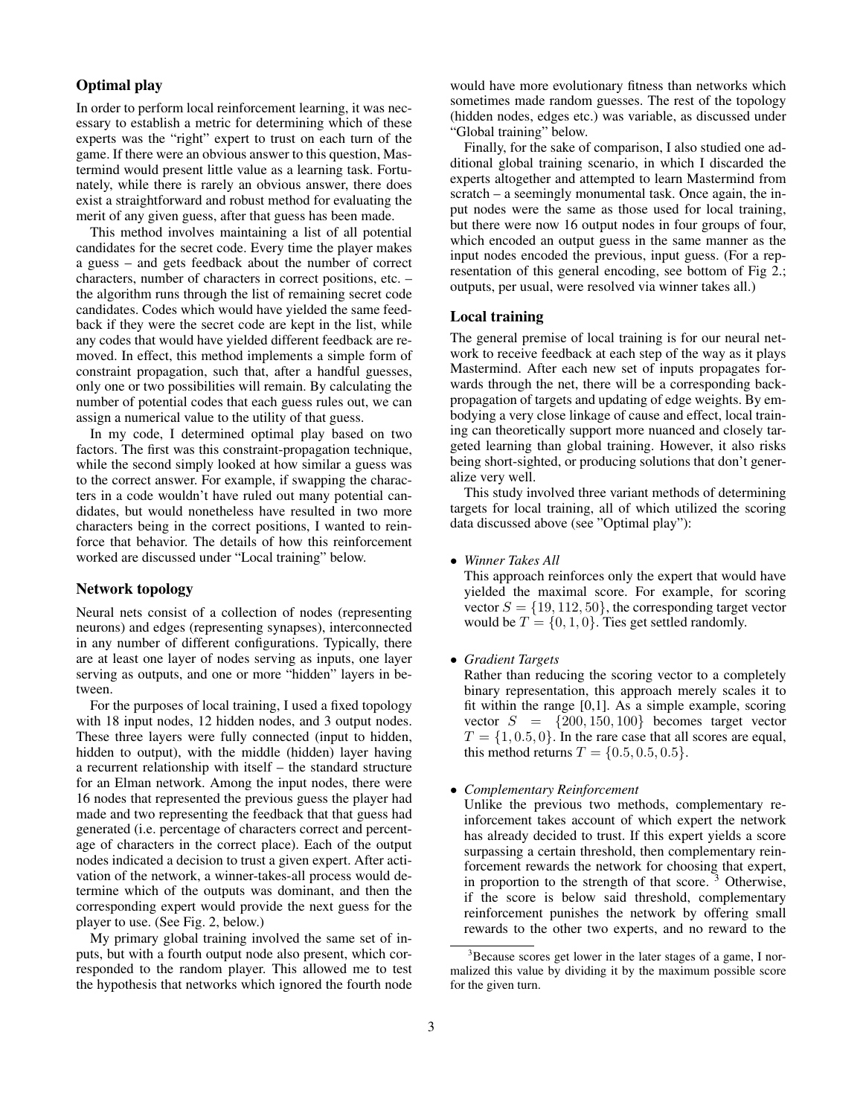## Optimal play

In order to perform local reinforcement learning, it was necessary to establish a metric for determining which of these experts was the "right" expert to trust on each turn of the game. If there were an obvious answer to this question, Mastermind would present little value as a learning task. Fortunately, while there is rarely an obvious answer, there does exist a straightforward and robust method for evaluating the merit of any given guess, after that guess has been made.

This method involves maintaining a list of all potential candidates for the secret code. Every time the player makes a guess – and gets feedback about the number of correct characters, number of characters in correct positions, etc. – the algorithm runs through the list of remaining secret code candidates. Codes which would have yielded the same feedback if they were the secret code are kept in the list, while any codes that would have yielded different feedback are removed. In effect, this method implements a simple form of constraint propagation, such that, after a handful guesses, only one or two possibilities will remain. By calculating the number of potential codes that each guess rules out, we can assign a numerical value to the utility of that guess.

In my code, I determined optimal play based on two factors. The first was this constraint-propagation technique, while the second simply looked at how similar a guess was to the correct answer. For example, if swapping the characters in a code wouldn't have ruled out many potential candidates, but would nonetheless have resulted in two more characters being in the correct positions, I wanted to reinforce that behavior. The details of how this reinforcement worked are discussed under "Local training" below.

## Network topology

Neural nets consist of a collection of nodes (representing neurons) and edges (representing synapses), interconnected in any number of different configurations. Typically, there are at least one layer of nodes serving as inputs, one layer serving as outputs, and one or more "hidden" layers in between.

For the purposes of local training, I used a fixed topology with 18 input nodes, 12 hidden nodes, and 3 output nodes. These three layers were fully connected (input to hidden, hidden to output), with the middle (hidden) layer having a recurrent relationship with itself – the standard structure for an Elman network. Among the input nodes, there were 16 nodes that represented the previous guess the player had made and two representing the feedback that that guess had generated (i.e. percentage of characters correct and percentage of characters in the correct place). Each of the output nodes indicated a decision to trust a given expert. After activation of the network, a winner-takes-all process would determine which of the outputs was dominant, and then the corresponding expert would provide the next guess for the player to use. (See Fig. 2, below.)

My primary global training involved the same set of inputs, but with a fourth output node also present, which corresponded to the random player. This allowed me to test the hypothesis that networks which ignored the fourth node

would have more evolutionary fitness than networks which sometimes made random guesses. The rest of the topology (hidden nodes, edges etc.) was variable, as discussed under "Global training" below.

Finally, for the sake of comparison, I also studied one additional global training scenario, in which I discarded the experts altogether and attempted to learn Mastermind from scratch – a seemingly monumental task. Once again, the input nodes were the same as those used for local training, but there were now 16 output nodes in four groups of four, which encoded an output guess in the same manner as the input nodes encoded the previous, input guess. (For a representation of this general encoding, see bottom of Fig 2.; outputs, per usual, were resolved via winner takes all.)

## Local training

The general premise of local training is for our neural network to receive feedback at each step of the way as it plays Mastermind. After each new set of inputs propagates forwards through the net, there will be a corresponding backpropagation of targets and updating of edge weights. By embodying a very close linkage of cause and effect, local training can theoretically support more nuanced and closely targeted learning than global training. However, it also risks being short-sighted, or producing solutions that don't generalize very well.

This study involved three variant methods of determining targets for local training, all of which utilized the scoring data discussed above (see "Optimal play"):

• *Winner Takes All*

This approach reinforces only the expert that would have yielded the maximal score. For example, for scoring vector  $S = \{19, 112, 50\}$ , the corresponding target vector would be  $T = \{0, 1, 0\}$ . Ties get settled randomly.

• *Gradient Targets*

Rather than reducing the scoring vector to a completely binary representation, this approach merely scales it to fit within the range  $[0,1]$ . As a simple example, scoring vector  $S = \{200, 150, 100\}$  becomes target vector  $T = \{1, 0.5, 0\}$ . In the rare case that all scores are equal, this method returns  $T = \{0.5, 0.5, 0.5\}.$ 

• *Complementary Reinforcement*

Unlike the previous two methods, complementary reinforcement takes account of which expert the network has already decided to trust. If this expert yields a score surpassing a certain threshold, then complementary reinforcement rewards the network for choosing that expert, in proportion to the strength of that score. <sup>3</sup> Otherwise, if the score is below said threshold, complementary reinforcement punishes the network by offering small rewards to the other two experts, and no reward to the

 $3B$  Because scores get lower in the later stages of a game. I normalized this value by dividing it by the maximum possible score for the given turn.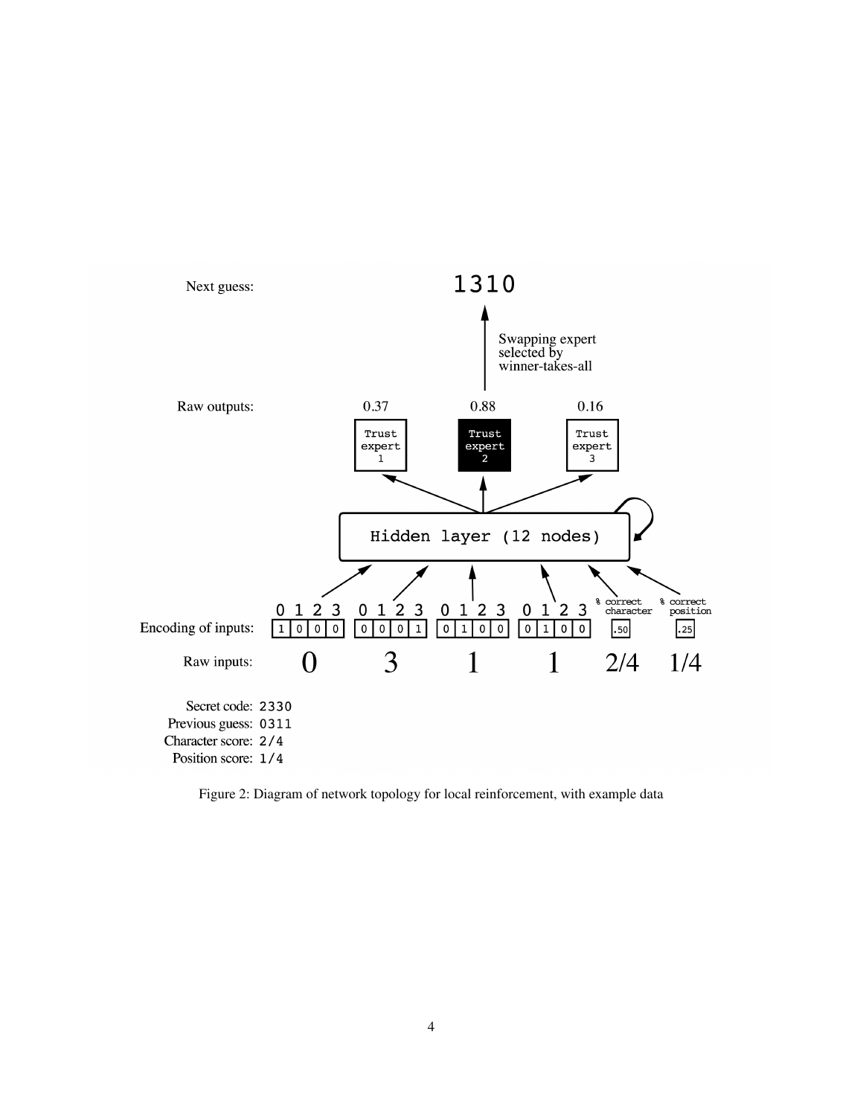

Figure 2: Diagram of network topology for local reinforcement, with example data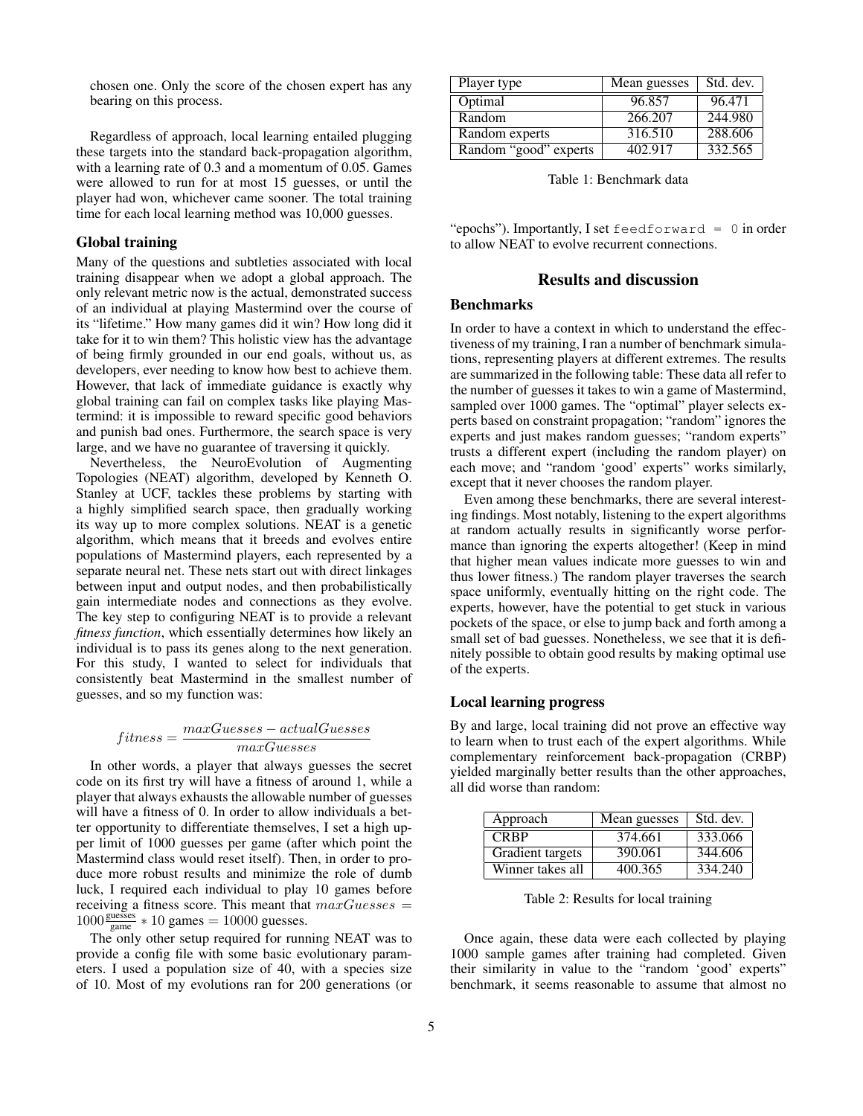chosen one. Only the score of the chosen expert has any bearing on this process.

Regardless of approach, local learning entailed plugging these targets into the standard back-propagation algorithm, with a learning rate of 0.3 and a momentum of 0.05. Games were allowed to run for at most 15 guesses, or until the player had won, whichever came sooner. The total training time for each local learning method was 10,000 guesses.

#### Global training

Many of the questions and subtleties associated with local training disappear when we adopt a global approach. The only relevant metric now is the actual, demonstrated success of an individual at playing Mastermind over the course of its "lifetime." How many games did it win? How long did it take for it to win them? This holistic view has the advantage of being firmly grounded in our end goals, without us, as developers, ever needing to know how best to achieve them. However, that lack of immediate guidance is exactly why global training can fail on complex tasks like playing Mastermind: it is impossible to reward specific good behaviors and punish bad ones. Furthermore, the search space is very large, and we have no guarantee of traversing it quickly.

Nevertheless, the NeuroEvolution of Augmenting Topologies (NEAT) algorithm, developed by Kenneth O. Stanley at UCF, tackles these problems by starting with a highly simplified search space, then gradually working its way up to more complex solutions. NEAT is a genetic algorithm, which means that it breeds and evolves entire populations of Mastermind players, each represented by a separate neural net. These nets start out with direct linkages between input and output nodes, and then probabilistically gain intermediate nodes and connections as they evolve. The key step to configuring NEAT is to provide a relevant *fitness function*, which essentially determines how likely an individual is to pass its genes along to the next generation. For this study, I wanted to select for individuals that consistently beat Mastermind in the smallest number of guesses, and so my function was:

$$
fitness = \frac{maxGuesses - actualGuesses}{maxGuesses}
$$

In other words, a player that always guesses the secret code on its first try will have a fitness of around 1, while a player that always exhausts the allowable number of guesses will have a fitness of 0. In order to allow individuals a better opportunity to differentiate themselves, I set a high upper limit of 1000 guesses per game (after which point the Mastermind class would reset itself). Then, in order to produce more robust results and minimize the role of dumb luck, I required each individual to play 10 games before receiving a fitness score. This meant that  $maxG$ uesses =  $1000 \frac{\text{guesses}}{\text{game}} * 10 \text{ games} = 10000 \text{ guesses}.$ 

The only other setup required for running NEAT was to provide a config file with some basic evolutionary parameters. I used a population size of 40, with a species size of 10. Most of my evolutions ran for 200 generations (or

| Player type           | Mean guesses | Std. dev. |
|-----------------------|--------------|-----------|
| Optimal               | 96.857       | 96.471    |
| Random                | 266.207      | 244.980   |
| Random experts        | 316.510      | 288.606   |
| Random "good" experts | 402.917      | 332.565   |

Table 1: Benchmark data

"epochs"). Importantly, I set feedforward = 0 in order to allow NEAT to evolve recurrent connections.

## Results and discussion

#### Benchmarks

In order to have a context in which to understand the effectiveness of my training, I ran a number of benchmark simulations, representing players at different extremes. The results are summarized in the following table: These data all refer to the number of guesses it takes to win a game of Mastermind, sampled over 1000 games. The "optimal" player selects experts based on constraint propagation; "random" ignores the experts and just makes random guesses; "random experts" trusts a different expert (including the random player) on each move; and "random 'good' experts" works similarly, except that it never chooses the random player.

Even among these benchmarks, there are several interesting findings. Most notably, listening to the expert algorithms at random actually results in significantly worse performance than ignoring the experts altogether! (Keep in mind that higher mean values indicate more guesses to win and thus lower fitness.) The random player traverses the search space uniformly, eventually hitting on the right code. The experts, however, have the potential to get stuck in various pockets of the space, or else to jump back and forth among a small set of bad guesses. Nonetheless, we see that it is definitely possible to obtain good results by making optimal use of the experts.

#### Local learning progress

By and large, local training did not prove an effective way to learn when to trust each of the expert algorithms. While complementary reinforcement back-propagation (CRBP) yielded marginally better results than the other approaches, all did worse than random:

| Approach         | Mean guesses | Std. dev. |
|------------------|--------------|-----------|
| <b>CRRP</b>      | 374.661      | 333,066   |
| Gradient targets | 390.061      | 344.606   |
| Winner takes all | 400.365      | 334.240   |

Table 2: Results for local training

Once again, these data were each collected by playing 1000 sample games after training had completed. Given their similarity in value to the "random 'good' experts" benchmark, it seems reasonable to assume that almost no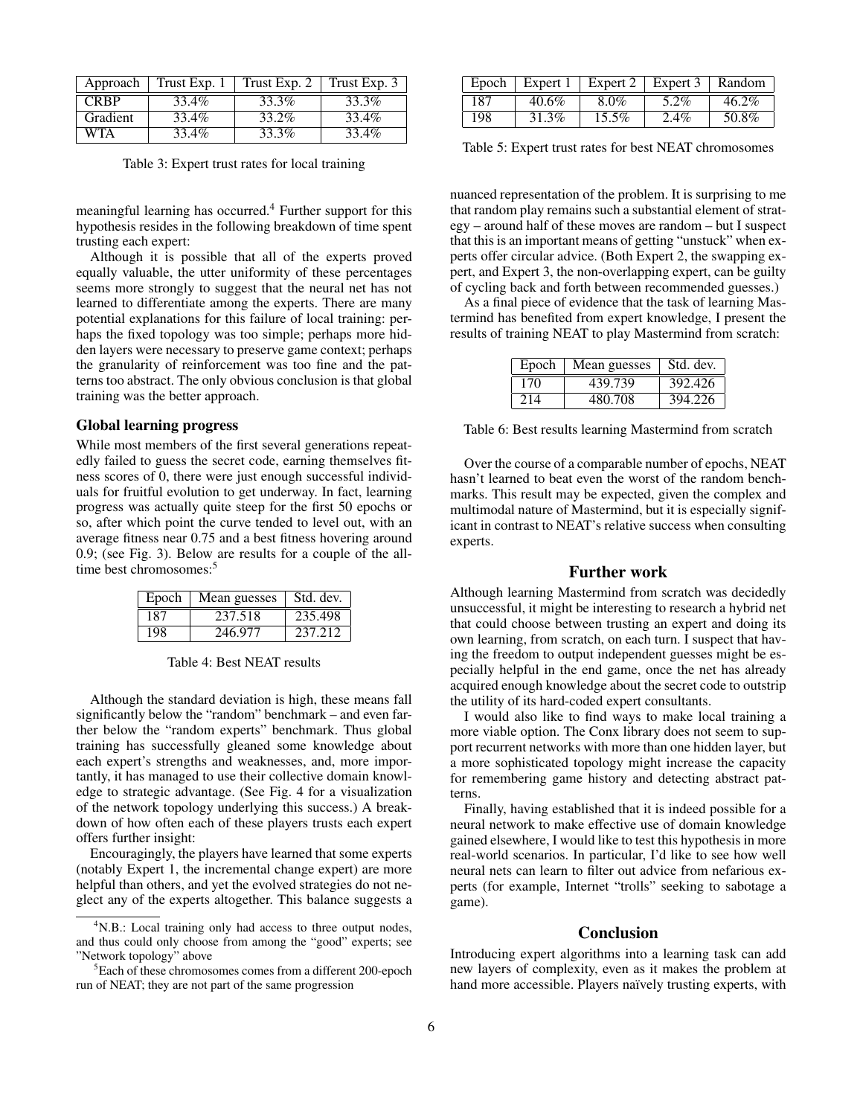| Approach    | Trust Exp. 1 | Trust Exp. 2 | Trust Exp. 3 |
|-------------|--------------|--------------|--------------|
| <b>CRBP</b> | 33.4%        | 33.3%        | 33.3%        |
| Gradient    | 33.4%        | 33.2%        | 33.4%        |
| WTA         | 33.4%        | 33.3%        | 33.4%        |

Table 3: Expert trust rates for local training

meaningful learning has occurred.<sup>4</sup> Further support for this hypothesis resides in the following breakdown of time spent trusting each expert:

Although it is possible that all of the experts proved equally valuable, the utter uniformity of these percentages seems more strongly to suggest that the neural net has not learned to differentiate among the experts. There are many potential explanations for this failure of local training: perhaps the fixed topology was too simple; perhaps more hidden layers were necessary to preserve game context; perhaps the granularity of reinforcement was too fine and the patterns too abstract. The only obvious conclusion is that global training was the better approach.

## Global learning progress

While most members of the first several generations repeatedly failed to guess the secret code, earning themselves fitness scores of 0, there were just enough successful individuals for fruitful evolution to get underway. In fact, learning progress was actually quite steep for the first 50 epochs or so, after which point the curve tended to level out, with an average fitness near 0.75 and a best fitness hovering around 0.9; (see Fig. 3). Below are results for a couple of the alltime best chromosomes:<sup>5</sup>

| Epoch | Mean guesses | Std. dev. |
|-------|--------------|-----------|
| 187   | 237.518      | 235.498   |
| 198   | 246.977      | 237.212   |

Table 4: Best NEAT results

Although the standard deviation is high, these means fall significantly below the "random" benchmark – and even farther below the "random experts" benchmark. Thus global training has successfully gleaned some knowledge about each expert's strengths and weaknesses, and, more importantly, it has managed to use their collective domain knowledge to strategic advantage. (See Fig. 4 for a visualization of the network topology underlying this success.) A breakdown of how often each of these players trusts each expert offers further insight:

Encouragingly, the players have learned that some experts (notably Expert 1, the incremental change expert) are more helpful than others, and yet the evolved strategies do not neglect any of the experts altogether. This balance suggests a

| Epoch |       | Expert $1 \mid$ Expert $2 \mid$ Expert 3 |         | $\parallel$ Random |
|-------|-------|------------------------------------------|---------|--------------------|
| 187   | 40.6% | $8.0\%$                                  | $5.2\%$ | 46.2%              |
| 198   | 31.3% | $15.5\%$                                 | $2.4\%$ | 50.8%              |

Table 5: Expert trust rates for best NEAT chromosomes

nuanced representation of the problem. It is surprising to me that random play remains such a substantial element of strategy – around half of these moves are random – but I suspect that this is an important means of getting "unstuck" when experts offer circular advice. (Both Expert 2, the swapping expert, and Expert 3, the non-overlapping expert, can be guilty of cycling back and forth between recommended guesses.)

As a final piece of evidence that the task of learning Mastermind has benefited from expert knowledge, I present the results of training NEAT to play Mastermind from scratch:

|     | Epoch   Mean guesses | Std. dev. |
|-----|----------------------|-----------|
| 170 | 439.739              | 392.426   |
| 214 | 480.708              | 394.226   |

Table 6: Best results learning Mastermind from scratch

Over the course of a comparable number of epochs, NEAT hasn't learned to beat even the worst of the random benchmarks. This result may be expected, given the complex and multimodal nature of Mastermind, but it is especially significant in contrast to NEAT's relative success when consulting experts.

## Further work

Although learning Mastermind from scratch was decidedly unsuccessful, it might be interesting to research a hybrid net that could choose between trusting an expert and doing its own learning, from scratch, on each turn. I suspect that having the freedom to output independent guesses might be especially helpful in the end game, once the net has already acquired enough knowledge about the secret code to outstrip the utility of its hard-coded expert consultants.

I would also like to find ways to make local training a more viable option. The Conx library does not seem to support recurrent networks with more than one hidden layer, but a more sophisticated topology might increase the capacity for remembering game history and detecting abstract patterns.

Finally, having established that it is indeed possible for a neural network to make effective use of domain knowledge gained elsewhere, I would like to test this hypothesis in more real-world scenarios. In particular, I'd like to see how well neural nets can learn to filter out advice from nefarious experts (for example, Internet "trolls" seeking to sabotage a game).

### Conclusion

Introducing expert algorithms into a learning task can add new layers of complexity, even as it makes the problem at hand more accessible. Players naïvely trusting experts, with

<sup>&</sup>lt;sup>4</sup>N.B.: Local training only had access to three output nodes, and thus could only choose from among the "good" experts; see "Network topology" above

<sup>5</sup>Each of these chromosomes comes from a different 200-epoch run of NEAT; they are not part of the same progression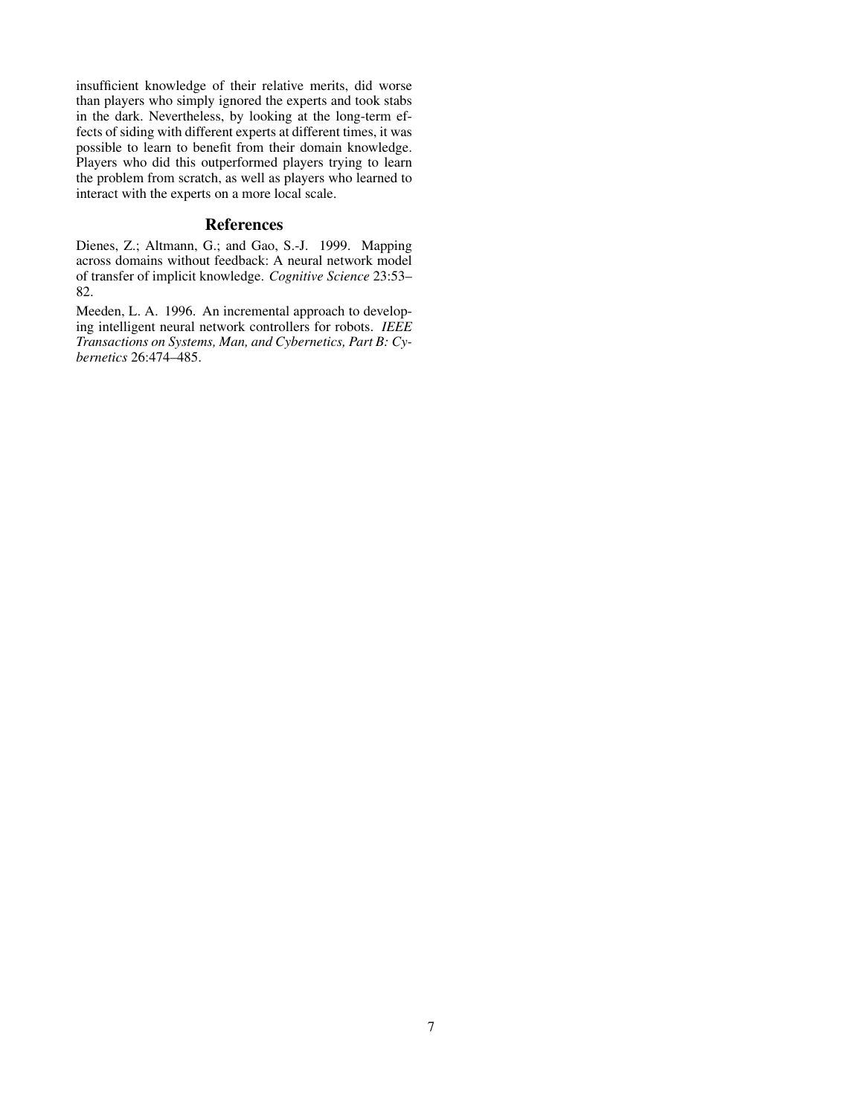insufficient knowledge of their relative merits, did worse than players who simply ignored the experts and took stabs in the dark. Nevertheless, by looking at the long-term effects of siding with different experts at different times, it was possible to learn to benefit from their domain knowledge. Players who did this outperformed players trying to learn the problem from scratch, as well as players who learned to interact with the experts on a more local scale.

## References

Dienes, Z.; Altmann, G.; and Gao, S.-J. 1999. Mapping across domains without feedback: A neural network model of transfer of implicit knowledge. *Cognitive Science* 23:53– 82.

Meeden, L. A. 1996. An incremental approach to developing intelligent neural network controllers for robots. *IEEE Transactions on Systems, Man, and Cybernetics, Part B: Cybernetics* 26:474–485.